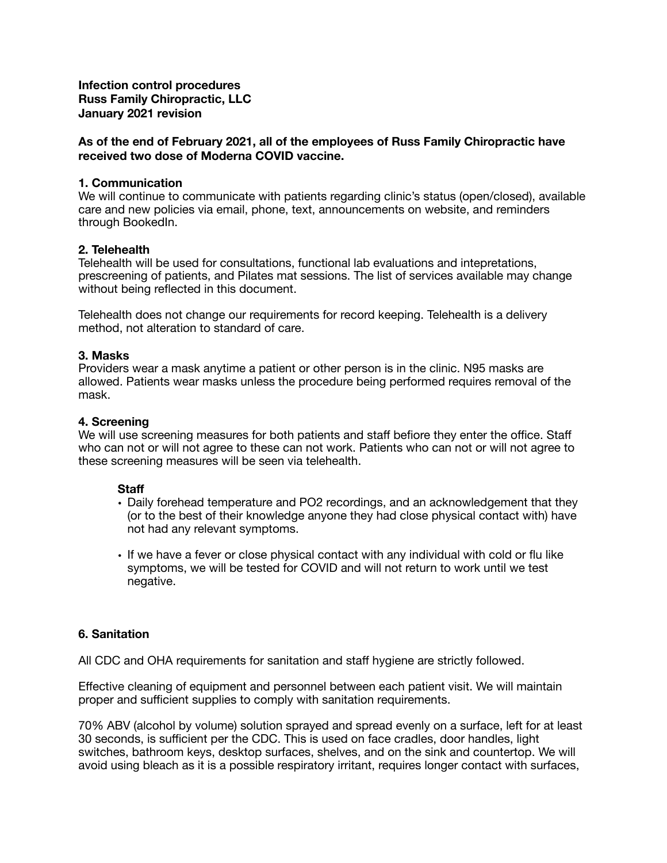**Infection control procedures Russ Family Chiropractic, LLC January 2021 revision** 

## **As of the end of February 2021, all of the employees of Russ Family Chiropractic have received two dose of Moderna COVID vaccine.**

## **1. Communication**

We will continue to communicate with patients regarding clinic's status (open/closed), available care and new policies via email, phone, text, announcements on website, and reminders through BookedIn.

### **2. Telehealth**

Telehealth will be used for consultations, functional lab evaluations and intepretations, prescreening of patients, and Pilates mat sessions. The list of services available may change without being reflected in this document.

Telehealth does not change our requirements for record keeping. Telehealth is a delivery method, not alteration to standard of care.

### **3. Masks**

Providers wear a mask anytime a patient or other person is in the clinic. N95 masks are allowed. Patients wear masks unless the procedure being performed requires removal of the mask.

## **4. Screening**

We will use screening measures for both patients and staff befiore they enter the office. Staff who can not or will not agree to these can not work. Patients who can not or will not agree to these screening measures will be seen via telehealth.

#### **Staff**

- Daily forehead temperature and PO2 recordings, and an acknowledgement that they (or to the best of their knowledge anyone they had close physical contact with) have not had any relevant symptoms.
- If we have a fever or close physical contact with any individual with cold or flu like symptoms, we will be tested for COVID and will not return to work until we test negative.

## **6. Sanitation**

All CDC and OHA requirements for sanitation and staff hygiene are strictly followed.

Effective cleaning of equipment and personnel between each patient visit. We will maintain proper and sufficient supplies to comply with sanitation requirements.

70% ABV (alcohol by volume) solution sprayed and spread evenly on a surface, left for at least 30 seconds, is sufficient per the CDC. This is used on face cradles, door handles, light switches, bathroom keys, desktop surfaces, shelves, and on the sink and countertop. We will avoid using bleach as it is a possible respiratory irritant, requires longer contact with surfaces,